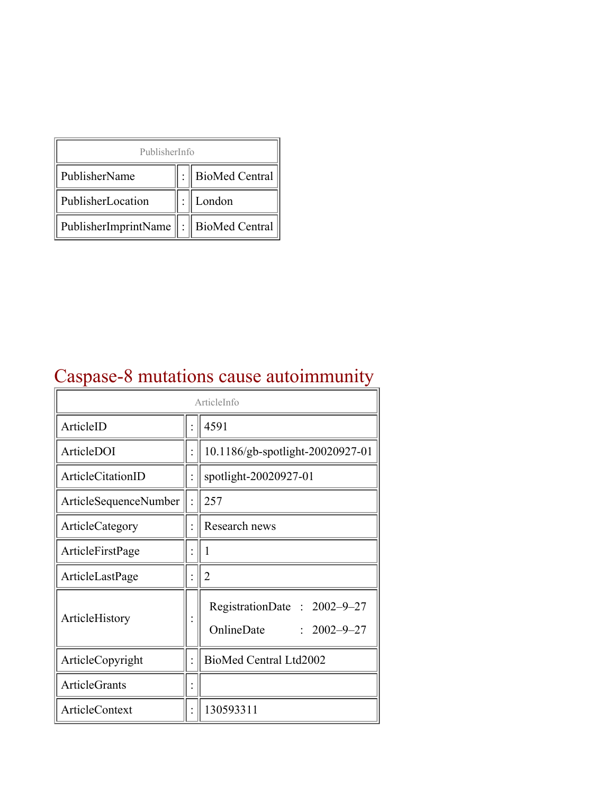| PublisherInfo                                   |  |                    |  |  |
|-------------------------------------------------|--|--------------------|--|--|
| PublisherName                                   |  | :   BioMed Central |  |  |
| PublisherLocation                               |  | London             |  |  |
| PublisherImprintName $\ \cdot\ $ BioMed Central |  |                    |  |  |

## Caspase-8 mutations cause autoimmunity

| ArticleInfo            |  |                                                                |
|------------------------|--|----------------------------------------------------------------|
| ArticleID              |  | 4591                                                           |
| ArticleDOI             |  | 10.1186/gb-spotlight-20020927-01                               |
| ArticleCitationID      |  | spotlight-20020927-01                                          |
| ArticleSequenceNumber  |  | 257                                                            |
| <b>ArticleCategory</b> |  | Research news                                                  |
| ArticleFirstPage       |  | I                                                              |
| ArticleLastPage        |  | $\overline{2}$                                                 |
| ArticleHistory         |  | RegistrationDate: 2002-9-27<br>OnlineDate<br>$: 2002 - 9 - 27$ |
| ArticleCopyright       |  | BioMed Central Ltd2002                                         |
| ArticleGrants          |  |                                                                |
| <b>ArticleContext</b>  |  | 130593311                                                      |